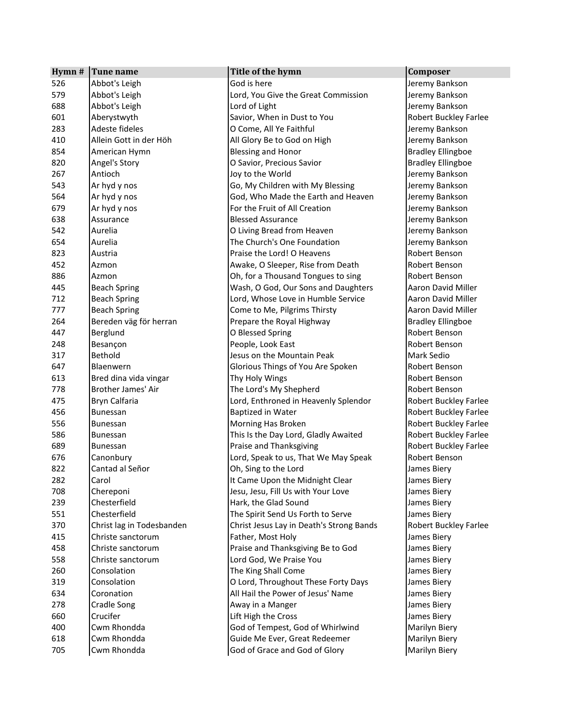| Hymn # | Tune name                 | Title of the hymn                        | Composer                  |
|--------|---------------------------|------------------------------------------|---------------------------|
| 526    | Abbot's Leigh             | God is here                              | Jeremy Bankson            |
| 579    | Abbot's Leigh             | Lord, You Give the Great Commission      | Jeremy Bankson            |
| 688    | Abbot's Leigh             | Lord of Light                            | Jeremy Bankson            |
| 601    | Aberystwyth               | Savior, When in Dust to You              | Robert Buckley Farlee     |
| 283    | Adeste fideles            | O Come, All Ye Faithful                  | Jeremy Bankson            |
| 410    | Allein Gott in der Höh    | All Glory Be to God on High              | Jeremy Bankson            |
| 854    | American Hymn             | <b>Blessing and Honor</b>                | <b>Bradley Ellingboe</b>  |
| 820    | Angel's Story             | O Savior, Precious Savior                | <b>Bradley Ellingboe</b>  |
| 267    | Antioch                   | Joy to the World                         | Jeremy Bankson            |
| 543    | Ar hyd y nos              | Go, My Children with My Blessing         | Jeremy Bankson            |
| 564    | Ar hyd y nos              | God, Who Made the Earth and Heaven       | Jeremy Bankson            |
| 679    | Ar hyd y nos              | For the Fruit of All Creation            | Jeremy Bankson            |
| 638    | Assurance                 | <b>Blessed Assurance</b>                 | Jeremy Bankson            |
| 542    | Aurelia                   | O Living Bread from Heaven               | Jeremy Bankson            |
| 654    | Aurelia                   | The Church's One Foundation              | Jeremy Bankson            |
| 823    | Austria                   | Praise the Lord! O Heavens               | Robert Benson             |
| 452    | Azmon                     | Awake, O Sleeper, Rise from Death        | Robert Benson             |
| 886    | Azmon                     | Oh, for a Thousand Tongues to sing       | Robert Benson             |
| 445    | <b>Beach Spring</b>       | Wash, O God, Our Sons and Daughters      | <b>Aaron David Miller</b> |
| 712    | <b>Beach Spring</b>       | Lord, Whose Love in Humble Service       | <b>Aaron David Miller</b> |
| 777    | <b>Beach Spring</b>       | Come to Me, Pilgrims Thirsty             | Aaron David Miller        |
| 264    | Bereden väg för herran    | Prepare the Royal Highway                | <b>Bradley Ellingboe</b>  |
| 447    | Berglund                  | O Blessed Spring                         | Robert Benson             |
| 248    | Besançon                  | People, Look East                        | Robert Benson             |
| 317    | Bethold                   | Jesus on the Mountain Peak               | Mark Sedio                |
| 647    | Blaenwern                 | Glorious Things of You Are Spoken        | Robert Benson             |
| 613    | Bred dina vida vingar     | Thy Holy Wings                           | Robert Benson             |
| 778    | Brother James' Air        | The Lord's My Shepherd                   | Robert Benson             |
| 475    | Bryn Calfaria             | Lord, Enthroned in Heavenly Splendor     | Robert Buckley Farlee     |
| 456    | Bunessan                  | Baptized in Water                        | Robert Buckley Farlee     |
| 556    | <b>Bunessan</b>           | Morning Has Broken                       | Robert Buckley Farlee     |
| 586    | Bunessan                  | This Is the Day Lord, Gladly Awaited     | Robert Buckley Farlee     |
| 689    | Bunessan                  | Praise and Thanksgiving                  | Robert Buckley Farlee     |
| 676    | Canonbury                 | Lord, Speak to us, That We May Speak     | Robert Benson             |
| 822    | Cantad al Señor           | Oh, Sing to the Lord                     | James Biery               |
| 282    | Carol                     | It Came Upon the Midnight Clear          | James Biery               |
| 708    | Chereponi                 | Jesu, Jesu, Fill Us with Your Love       | James Biery               |
| 239    | Chesterfield              | Hark, the Glad Sound                     | James Biery               |
| 551    | Chesterfield              | The Spirit Send Us Forth to Serve        | James Biery               |
| 370    | Christ lag in Todesbanden | Christ Jesus Lay in Death's Strong Bands | Robert Buckley Farlee     |
| 415    | Christe sanctorum         | Father, Most Holy                        | James Biery               |
| 458    | Christe sanctorum         | Praise and Thanksgiving Be to God        | James Biery               |
| 558    | Christe sanctorum         | Lord God, We Praise You                  | James Biery               |
| 260    | Consolation               | The King Shall Come                      | James Biery               |
| 319    | Consolation               | O Lord, Throughout These Forty Days      | James Biery               |
| 634    | Coronation                | All Hail the Power of Jesus' Name        | James Biery               |
| 278    | Cradle Song               | Away in a Manger                         | James Biery               |
| 660    | Crucifer                  | Lift High the Cross                      | James Biery               |
| 400    | Cwm Rhondda               | God of Tempest, God of Whirlwind         | Marilyn Biery             |
| 618    | Cwm Rhondda               | Guide Me Ever, Great Redeemer            | Marilyn Biery             |
| 705    | Cwm Rhondda               | God of Grace and God of Glory            | Marilyn Biery             |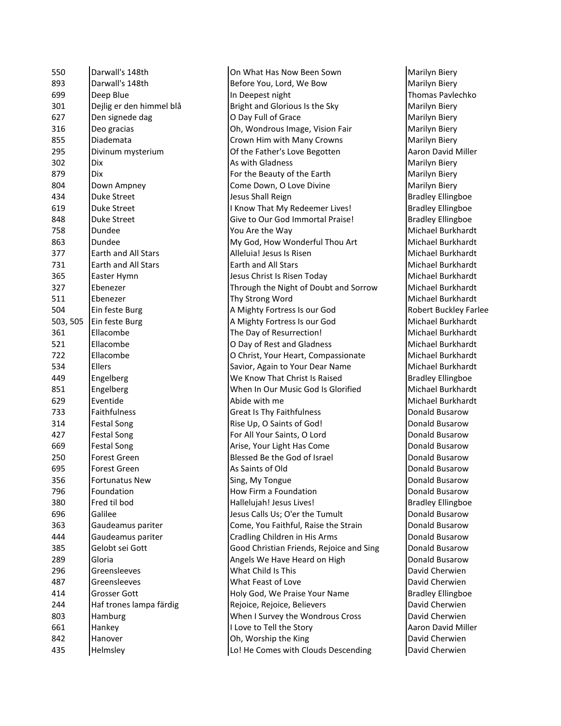| 550      | Darwall's 148th          | On What Has Now Been Sown                | Marilyn Biery         |
|----------|--------------------------|------------------------------------------|-----------------------|
| 893      | Darwall's 148th          | Before You, Lord, We Bow                 | Marilyn Biery         |
| 699      | Deep Blue                | In Deepest night                         | <b>Thomas Pavle</b>   |
| 301      | Dejlig er den himmel blå | Bright and Glorious Is the Sky           | Marilyn Biery         |
| 627      | Den signede dag          | O Day Full of Grace                      | Marilyn Biery         |
| 316      | Deo gracias              | Oh, Wondrous Image, Vision Fair          | Marilyn Biery         |
| 855      | Diademata                | Crown Him with Many Crowns               | Marilyn Biery         |
| 295      | Divinum mysterium        | Of the Father's Love Begotten            | Aaron David N         |
| 302      | Dix                      | As with Gladness                         | Marilyn Biery         |
| 879      | Dix                      | For the Beauty of the Earth              | Marilyn Biery         |
| 804      | Down Ampney              | Come Down, O Love Divine                 | Marilyn Biery         |
| 434      | <b>Duke Street</b>       | Jesus Shall Reign                        | <b>Bradley Elling</b> |
| 619      | <b>Duke Street</b>       | I Know That My Redeemer Lives!           | <b>Bradley Elling</b> |
| 848      | <b>Duke Street</b>       | Give to Our God Immortal Praise!         | <b>Bradley Elling</b> |
| 758      | Dundee                   | You Are the Way                          | Michael Burkl         |
| 863      | Dundee                   | My God, How Wonderful Thou Art           | Michael Burkl         |
| 377      | Earth and All Stars      | Alleluia! Jesus Is Risen                 | Michael Burkl         |
| 731      | Earth and All Stars      | Earth and All Stars                      | Michael Burkl         |
| 365      | Easter Hymn              | Jesus Christ Is Risen Today              | Michael Burkl         |
| 327      | Ebenezer                 | Through the Night of Doubt and Sorrow    | <b>Michael Burkl</b>  |
| 511      | Ebenezer                 | Thy Strong Word                          | Michael Burkl         |
| 504      | Ein feste Burg           | A Mighty Fortress Is our God             | Robert Buckle         |
| 503, 505 | Ein feste Burg           | A Mighty Fortress Is our God             | Michael Burkl         |
| 361      | Ellacombe                | The Day of Resurrection!                 | Michael Burkl         |
| 521      | Ellacombe                | O Day of Rest and Gladness               | Michael Burkl         |
| 722      | Ellacombe                | O Christ, Your Heart, Compassionate      | Michael Burkl         |
| 534      | Ellers                   | Savior, Again to Your Dear Name          | Michael Burkl         |
| 449      | Engelberg                | We Know That Christ Is Raised            | <b>Bradley Elling</b> |
| 851      | Engelberg                | When In Our Music God Is Glorified       | Michael Burkl         |
| 629      | Eventide                 | Abide with me                            | Michael Burkl         |
| 733      | <b>Faithfulness</b>      | Great Is Thy Faithfulness                | Donald Busar          |
| 314      | <b>Festal Song</b>       | Rise Up, O Saints of God!                | Donald Busar          |
| 427      | <b>Festal Song</b>       | For All Your Saints, O Lord              | Donald Busar          |
| 669      | <b>Festal Song</b>       | Arise, Your Light Has Come               | Donald Busar          |
| 250      | Forest Green             | Blessed Be the God of Israel             | Donald Busar          |
| 695      | Forest Green             | As Saints of Old                         | Donald Busar          |
| 356      | <b>Fortunatus New</b>    | Sing, My Tongue                          | Donald Busar          |
| 796      | Foundation               | How Firm a Foundation                    | Donald Busar          |
| 380      | Fred til bod             | Hallelujah! Jesus Lives!                 | <b>Bradley Elling</b> |
| 696      | Galilee                  | Jesus Calls Us; O'er the Tumult          | Donald Busar          |
| 363      | Gaudeamus pariter        | Come, You Faithful, Raise the Strain     | Donald Busar          |
| 444      | Gaudeamus pariter        | Cradling Children in His Arms            | Donald Busar          |
| 385      | Gelobt sei Gott          | Good Christian Friends, Rejoice and Sing | Donald Busar          |
| 289      | Gloria                   | Angels We Have Heard on High             | Donald Busar          |
| 296      | Greensleeves             | What Child Is This                       | David Cherwi          |
| 487      | Greensleeves             | What Feast of Love                       | David Cherwi          |
| 414      | Grosser Gott             | Holy God, We Praise Your Name            | <b>Bradley Elling</b> |
| 244      | Haf trones lampa färdig  | Rejoice, Rejoice, Believers              | David Cherwi          |
| 803      | Hamburg                  | When I Survey the Wondrous Cross         | David Cherwi          |
| 661      | Hankey                   | I Love to Tell the Story                 | Aaron David N         |
| 842      | Hanover                  | Oh, Worship the King                     | David Cherwi          |
| 435      | Helmsley                 | Lo! He Comes with Clouds Descending      | David Cherwi          |
|          |                          |                                          |                       |

Marilyn Biery Thomas Pavlechko Marilyn Biery Marilyn Biery Marilyn Biery Marilyn Biery Aaron David Miller Marilyn Biery Marilyn Biery Marilyn Biery **Bradley Ellingboe** Bradley Ellingboe **Bradley Ellingboe** Michael Burkhardt Michael Burkhardt Michael Burkhardt Michael Burkhardt Michael Burkhardt Michael Burkhardt Michael Burkhardt Robert Buckley Farlee Michael Burkhardt Michael Burkhardt Michael Burkhardt Michael Burkhardt Michael Burkhardt **Bradley Ellingboe** Michael Burkhardt Michael Burkhardt Donald Busarow Donald Busarow Donald Busarow Donald Busarow Donald Busarow Donald Busarow Donald Busarow Donald Busarow Bradley Ellingboe Donald Busarow Donald Busarow Donald Busarow Donald Busarow Donald Busarow David Cherwien David Cherwien **Bradley Ellingboe** David Cherwien **David Cherwien** Aaron David Miller David Cherwien David Cherwien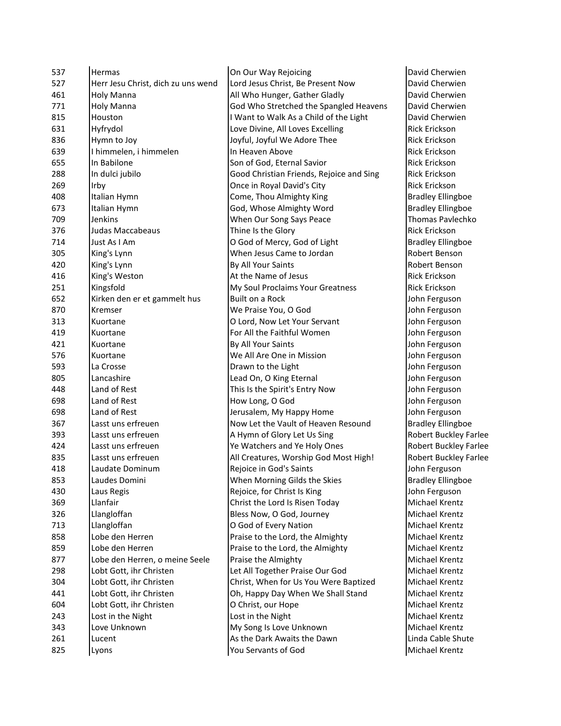| 537 | Hermas                             | On Our Way Rejoicing                     | David Cherwier         |
|-----|------------------------------------|------------------------------------------|------------------------|
| 527 | Herr Jesu Christ, dich zu uns wend | Lord Jesus Christ, Be Present Now        | David Cherwier         |
| 461 | Holy Manna                         | All Who Hunger, Gather Gladly            | David Cherwier         |
| 771 | Holy Manna                         | God Who Stretched the Spangled Heavens   | David Cherwier         |
| 815 | Houston                            | I Want to Walk As a Child of the Light   | David Cherwier         |
| 631 | Hyfrydol                           | Love Divine, All Loves Excelling         | Rick Erickson          |
| 836 | Hymn to Joy                        | Joyful, Joyful We Adore Thee             | Rick Erickson          |
| 639 | I himmelen, i himmelen             | In Heaven Above                          | Rick Erickson          |
| 655 | In Babilone                        | Son of God, Eternal Savior               | Rick Erickson          |
| 288 | In dulci jubilo                    | Good Christian Friends, Rejoice and Sing | Rick Erickson          |
| 269 | Irby                               | Once in Royal David's City               | Rick Erickson          |
| 408 | Italian Hymn                       | Come, Thou Almighty King                 | <b>Bradley Ellingb</b> |
| 673 | Italian Hymn                       | God, Whose Almighty Word                 | <b>Bradley Ellingb</b> |
| 709 | Jenkins                            | When Our Song Says Peace                 | <b>Thomas Pavlec</b>   |
| 376 | Judas Maccabeaus                   | Thine Is the Glory                       | Rick Erickson          |
| 714 | Just As I Am                       | O God of Mercy, God of Light             | <b>Bradley Ellingb</b> |
| 305 | King's Lynn                        | When Jesus Came to Jordan                | Robert Benson          |
| 420 | King's Lynn                        | By All Your Saints                       | Robert Benson          |
| 416 | King's Weston                      | At the Name of Jesus                     | Rick Erickson          |
| 251 | Kingsfold                          | My Soul Proclaims Your Greatness         | Rick Erickson          |
| 652 | Kirken den er et gammelt hus       | <b>Built on a Rock</b>                   | John Ferguson          |
| 870 | Kremser                            | We Praise You, O God                     | John Ferguson          |
| 313 | Kuortane                           | O Lord, Now Let Your Servant             | John Ferguson          |
| 419 | Kuortane                           | For All the Faithful Women               | John Ferguson          |
| 421 | Kuortane                           | By All Your Saints                       | John Ferguson          |
| 576 | Kuortane                           | We All Are One in Mission                | John Ferguson          |
| 593 | La Crosse                          | Drawn to the Light                       | John Ferguson          |
| 805 | Lancashire                         | Lead On, O King Eternal                  | John Ferguson          |
| 448 | Land of Rest                       | This Is the Spirit's Entry Now           | John Ferguson          |
| 698 | Land of Rest                       | How Long, O God                          | John Ferguson          |
| 698 | Land of Rest                       | Jerusalem, My Happy Home                 | John Ferguson          |
| 367 | Lasst uns erfreuen                 | Now Let the Vault of Heaven Resound      | <b>Bradley Ellingb</b> |
| 393 | Lasst uns erfreuen                 | A Hymn of Glory Let Us Sing              | Robert Buckley         |
| 424 | Lasst uns erfreuen                 | Ye Watchers and Ye Holy Ones             | Robert Buckley         |
| 835 | Lasst uns erfreuen                 | All Creatures, Worship God Most High!    | <b>Robert Buckley</b>  |
| 418 | Laudate Dominum                    | Rejoice in God's Saints                  | John Ferguson          |
| 853 | Laudes Domini                      | When Morning Gilds the Skies             | <b>Bradley Ellingb</b> |
| 430 | Laus Regis                         | Rejoice, for Christ Is King              | John Ferguson          |
| 369 | Llanfair                           | Christ the Lord Is Risen Today           | Michael Krentz         |
| 326 | Llangloffan                        | Bless Now, O God, Journey                | Michael Krentz         |
| 713 | Llangloffan                        | O God of Every Nation                    | Michael Krentz         |
| 858 | Lobe den Herren                    | Praise to the Lord, the Almighty         | Michael Krentz         |
| 859 | Lobe den Herren                    | Praise to the Lord, the Almighty         | Michael Krentz         |
| 877 | Lobe den Herren, o meine Seele     | Praise the Almighty                      | Michael Krentz         |
| 298 | Lobt Gott, ihr Christen            | Let All Together Praise Our God          | Michael Krentz         |
| 304 | Lobt Gott, ihr Christen            | Christ, When for Us You Were Baptized    | Michael Krentz         |
| 441 | Lobt Gott, ihr Christen            | Oh, Happy Day When We Shall Stand        | Michael Krentz         |
| 604 | Lobt Gott, ihr Christen            | O Christ, our Hope                       | Michael Krentz         |
| 243 | Lost in the Night                  | Lost in the Night                        | Michael Krentz         |
| 343 | Love Unknown                       | My Song Is Love Unknown                  | Michael Krentz         |
| 261 | Lucent                             | As the Dark Awaits the Dawn              | Linda Cable Shi        |
| 825 | Lyons                              | You Servants of God                      | Michael Krentz         |
|     |                                    |                                          |                        |

David Cherwien David Cherwien David Cherwien David Cherwien **David Cherwien Rick Erickson** Rick Erickson Rick Erickson **Rick Erickson** Bradley Ellingboe **Bradley Ellingboe** Thomas Pavlechko Rick Erickson Bradley Ellingboe Robert Benson Robert Benson **Rick Erickson** John Ferguson John Ferguson John Ferguson John Ferguson John Ferguson John Ferguson John Ferguson John Ferguson John Ferguson John Ferguson John Ferguson **Bradley Ellingboe** Robert Buckley Farlee Robert Buckley Farlee Robert Buckley Farlee John Ferguson Bradley Ellingboe John Ferguson Michael Krentz Michael Krentz Michael Krentz Michael Krentz Michael Krentz Michael Krentz Michael Krentz Michael Krentz Michael Krentz Michael Krentz Michael Krentz Linda Cable Shute Michael Krentz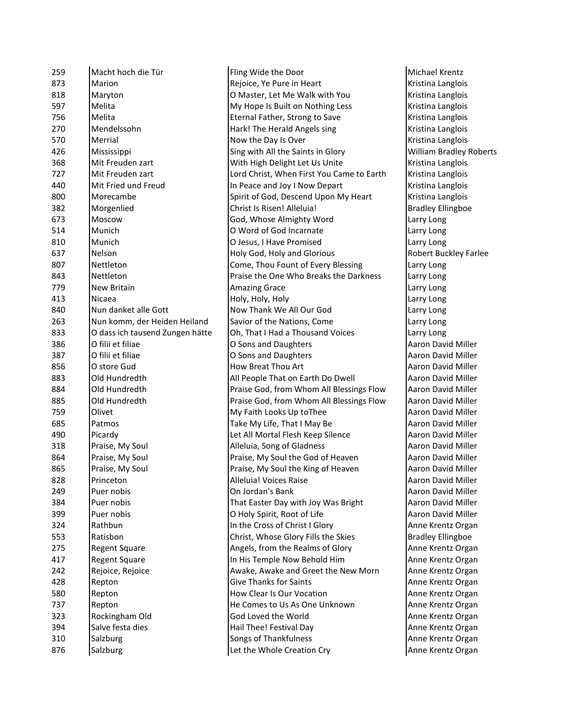| 259        | Macht hoch die Tür              | Fling Wide the Door                       | Michael Kr         |
|------------|---------------------------------|-------------------------------------------|--------------------|
| 873        | Marion                          | Rejoice, Ye Pure in Heart                 | Kristina La        |
| 818        | Maryton                         | O Master, Let Me Walk with You            | Kristina La        |
| 597        | Melita                          | My Hope Is Built on Nothing Less          | Kristina La        |
| 756        | Melita                          | Eternal Father, Strong to Save            | Kristina La        |
| 270        | Mendelssohn                     | Hark! The Herald Angels sing              | Kristina La        |
| 570        | Merrial                         | Now the Day Is Over                       | Kristina La        |
| 426        | Mississippi                     | Sing with All the Saints in Glory         | William Br         |
| 368        | Mit Freuden zart                | With High Delight Let Us Unite            | Kristina La        |
| 727        | Mit Freuden zart                | Lord Christ, When First You Came to Earth | Kristina La        |
| 440        | Mit Fried und Freud             | In Peace and Joy I Now Depart             | Kristina La        |
| 800        | Morecambe                       | Spirit of God, Descend Upon My Heart      | Kristina La        |
| 382        | Morgenlied                      | Christ Is Risen! Alleluia!                | <b>Bradley Ell</b> |
| 673        | Moscow                          | God, Whose Almighty Word                  | Larry Long         |
| 514        | Munich                          | O Word of God Incarnate                   | Larry Long         |
| 810        | Munich                          | O Jesus, I Have Promised                  | Larry Long         |
| 637        | Nelson                          | Holy God, Holy and Glorious               | Robert Bu          |
| 807        | <b>Nettleton</b>                | Come, Thou Fount of Every Blessing        | Larry Long         |
| 843        | Nettleton                       | Praise the One Who Breaks the Darkness    | Larry Long         |
| 779        | New Britain                     | <b>Amazing Grace</b>                      | Larry Long         |
| 413        | Nicaea                          | Holy, Holy, Holy                          | Larry Long         |
| 840        | Nun danket alle Gott            | Now Thank We All Our God                  | Larry Long         |
| 263        | Nun komm, der Heiden Heiland    | Savior of the Nations, Come               | Larry Long         |
| 833        | O dass ich tausend Zungen hätte | Oh, That I Had a Thousand Voices          | Larry Long         |
| 386        | O filii et filiae               | O Sons and Daughters                      | Aaron Dav          |
| 387        | O filii et filiae               | O Sons and Daughters                      | Aaron Dav          |
| 856        | O store Gud                     | How Breat Thou Art                        | Aaron Dav          |
| 883        | Old Hundredth                   | All People That on Earth Do Dwell         | Aaron Dav          |
| 884        | Old Hundredth                   | Praise God, from Whom All Blessings Flow  | Aaron Dav          |
| 885        | Old Hundredth                   | Praise God, from Whom All Blessings Flow  | Aaron Dav          |
| 759        | Olivet                          | My Faith Looks Up toThee                  | Aaron Dav          |
| 685        | Patmos                          | Take My Life, That I May Be               | Aaron Dav          |
| 490        | Picardy                         | Let All Mortal Flesh Keep Silence         | Aaron Dav          |
| 318        | Praise, My Soul                 | Alleluia, Song of Gladness                | Aaron Dav          |
| 864        | Praise, My Soul                 | Praise, My Soul the God of Heaven         | Aaron Dav          |
| 865        | Praise, My Soul                 | Praise, My Soul the King of Heaven        | Aaron Dav          |
| 828        | Princeton                       | Alleluia! Voices Raise                    | Aaron Dav          |
| 249        | Puer nobis                      | On Jordan's Bank                          | Aaron Dav          |
| 384        | Puer nobis                      | That Easter Day with Joy Was Bright       | Aaron Dav          |
| 399        | Puer nobis                      | O Holy Spirit, Root of Life               | Aaron Dav          |
| 324        | Rathbun                         | In the Cross of Christ I Glory            | Anne Kren          |
| 553        | Ratisbon                        | Christ, Whose Glory Fills the Skies       | <b>Bradley Ell</b> |
| 275        | <b>Regent Square</b>            | Angels, from the Realms of Glory          | Anne Kren          |
| 417        | <b>Regent Square</b>            | In His Temple Now Behold Him              | Anne Kren          |
| 242        | Rejoice, Rejoice                | Awake, Awake and Greet the New Morn       | Anne Kren          |
|            |                                 | <b>Give Thanks for Saints</b>             | Anne Kren          |
| 428<br>580 | Repton<br>Repton                | How Clear Is Our Vocation                 | Anne Kren          |
|            |                                 |                                           | Anne Kren          |
| 737        | Repton                          | He Comes to Us As One Unknown             |                    |
| 323        | Rockingham Old                  | God Loved the World                       | Anne Kren          |
| 394        | Salve festa dies                | Hail Thee! Festival Day                   | Anne Kren          |
| 310        | Salzburg                        | Songs of Thankfulness                     | Anne Kren          |
| 876        | Salzburg                        | Let the Whole Creation Cry                | Anne Kren          |

de the Door **Michael Krentz** Ye Pure in Heart Kristina Langlois r, Let Me Walk with You Kristina Langlois e Is Built on Nothing Less Kristina Langlois Father, Strong to Save Kristina Langlois e Herald Angels sing **Frank Prince and Angels sing Kristina Langlois Day Is Over Communist Communist Communist Communist Communist Communist Communist Communist Communist Communist Communist Communist Communist Communist Communist Communist Communist Communist Communist Communist Communist** h All the Saints in Glory William Bradley Roberts <sup>3</sup> xh Delight Let Us Unite Kristina Langlois ist, When First You Came to Earth Kristina Langlois and Joy I Now Depart Kristina Langlois God, Descend Upon My Heart Kristina Langlois Risen! Alleluia! **Bradley Ellingboe** nose Almighty Word Larry Long of God Incarnate Larry Long I Have Promised **Larry Long** d, Holy and Glorious Robert Buckley Farlee hou Fount of Every Blessing Larry Long 1e One Who Breaks the Darkness | Larry Long ank We All Our God Larry Long f the Nations, Come Larry Long t I Had a Thousand Voices Larry Long and Daughters **Aaron David Miller** and Daughters **Aaron David Miller Aaron David Miller** at Thou Art **Accord Entity Contract Thou Art Aaron David Miller** le That on Earth Do Dwell **All People That On Earth Do Dwell** Aaron David Miller od, from Whom All Blessings Flow | Aaron David Miller od, from Whom All Blessings Flow | Aaron David Miller 159 Looks Up toThee Aaron David Miller Life, That I May Be Aaron David Miller Abortal Flesh Keep Silence **Aaron David Miller** Song of Gladness **Access Aaron David Miller** Ay Soul the God of Heaven **Aaron David Miller** Ay Soul the King of Heaven **Aaron David Miller** Voices Raise **Access Access** Aaron David Miller an's Bank **Aaron David Miller** ter Day with Joy Was Bright **Aaron David Miller** pirit, Root of Life And Aaron David Miller ross of Christ I Glory **Anne Krentz Organ** Vhose Glory Fills the Skies **Bradley Ellingboe** from the Realms of Glory **Anne Krentz Organ** Anne Krentz Organ In Him Him Him Higher School and Him Anne Krentz Organ Awake and Greet the New Morn | Anne Krentz Organ anks for Saints **Anne Krentz Organ** ar Is Our Vocation **Anne Krentz Organ** es to Us As One Unknown **Anne Krentz Organ** ed the World **Constanting Constructs** Anne Krentz Organ e! Festival Day Anne Krentz Organ 31 Thankfulness **Congress Congress Congress Anne Krentz Organ** Whole Creation Cry **Anne Krentz Organ**